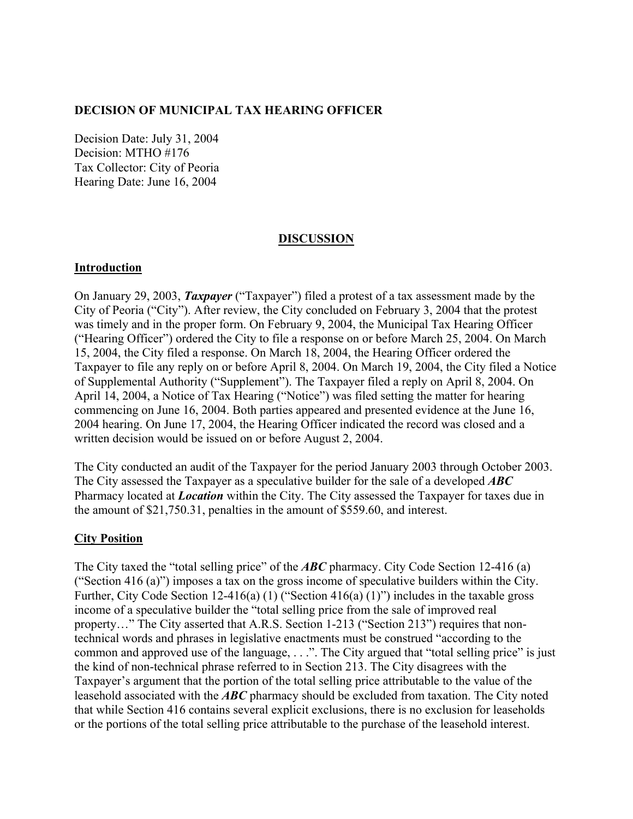## **DECISION OF MUNICIPAL TAX HEARING OFFICER**

Decision Date: July 31, 2004 Decision: MTHO #176 Tax Collector: City of Peoria Hearing Date: June 16, 2004

## **DISCUSSION**

## **Introduction**

On January 29, 2003, *Taxpayer* ("Taxpayer") filed a protest of a tax assessment made by the City of Peoria ("City"). After review, the City concluded on February 3, 2004 that the protest was timely and in the proper form. On February 9, 2004, the Municipal Tax Hearing Officer ("Hearing Officer") ordered the City to file a response on or before March 25, 2004. On March 15, 2004, the City filed a response. On March 18, 2004, the Hearing Officer ordered the Taxpayer to file any reply on or before April 8, 2004. On March 19, 2004, the City filed a Notice of Supplemental Authority ("Supplement"). The Taxpayer filed a reply on April 8, 2004. On April 14, 2004, a Notice of Tax Hearing ("Notice") was filed setting the matter for hearing commencing on June 16, 2004. Both parties appeared and presented evidence at the June 16, 2004 hearing. On June 17, 2004, the Hearing Officer indicated the record was closed and a written decision would be issued on or before August 2, 2004.

The City conducted an audit of the Taxpayer for the period January 2003 through October 2003. The City assessed the Taxpayer as a speculative builder for the sale of a developed *ABC* Pharmacy located at *Location* within the City. The City assessed the Taxpayer for taxes due in the amount of \$21,750.31, penalties in the amount of \$559.60, and interest.

## **City Position**

The City taxed the "total selling price" of the *ABC* pharmacy. City Code Section 12-416 (a) ("Section 416 (a)") imposes a tax on the gross income of speculative builders within the City. Further, City Code Section 12-416(a) (1) ("Section 416(a) (1)") includes in the taxable gross income of a speculative builder the "total selling price from the sale of improved real property…" The City asserted that A.R.S. Section 1-213 ("Section 213") requires that nontechnical words and phrases in legislative enactments must be construed "according to the common and approved use of the language, . . .". The City argued that "total selling price" is just the kind of non-technical phrase referred to in Section 213. The City disagrees with the Taxpayer's argument that the portion of the total selling price attributable to the value of the leasehold associated with the *ABC* pharmacy should be excluded from taxation. The City noted that while Section 416 contains several explicit exclusions, there is no exclusion for leaseholds or the portions of the total selling price attributable to the purchase of the leasehold interest.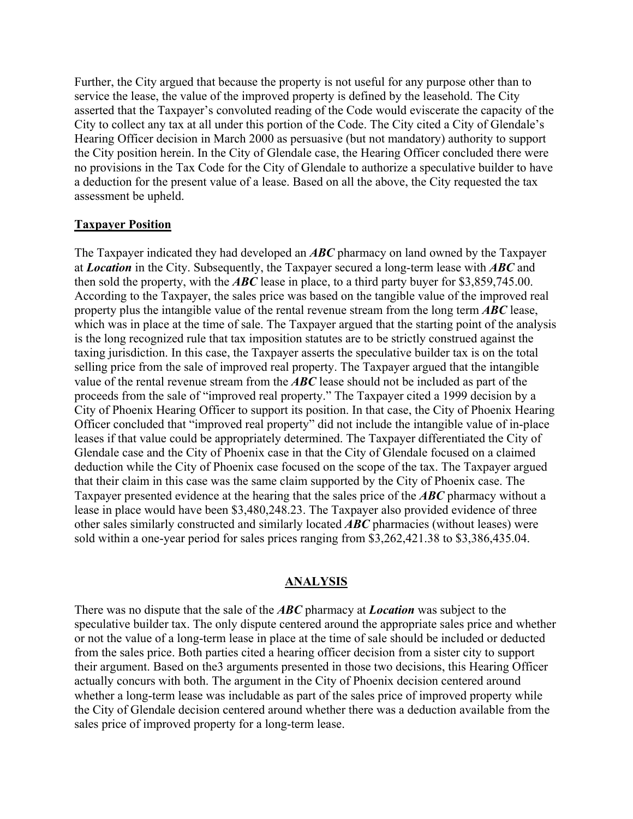Further, the City argued that because the property is not useful for any purpose other than to service the lease, the value of the improved property is defined by the leasehold. The City asserted that the Taxpayer's convoluted reading of the Code would eviscerate the capacity of the City to collect any tax at all under this portion of the Code. The City cited a City of Glendale's Hearing Officer decision in March 2000 as persuasive (but not mandatory) authority to support the City position herein. In the City of Glendale case, the Hearing Officer concluded there were no provisions in the Tax Code for the City of Glendale to authorize a speculative builder to have a deduction for the present value of a lease. Based on all the above, the City requested the tax assessment be upheld.

#### **Taxpayer Position**

The Taxpayer indicated they had developed an *ABC* pharmacy on land owned by the Taxpayer at *Location* in the City. Subsequently, the Taxpayer secured a long-term lease with *ABC* and then sold the property, with the *ABC* lease in place, to a third party buyer for \$3,859,745.00. According to the Taxpayer, the sales price was based on the tangible value of the improved real property plus the intangible value of the rental revenue stream from the long term *ABC* lease, which was in place at the time of sale. The Taxpayer argued that the starting point of the analysis is the long recognized rule that tax imposition statutes are to be strictly construed against the taxing jurisdiction. In this case, the Taxpayer asserts the speculative builder tax is on the total selling price from the sale of improved real property. The Taxpayer argued that the intangible value of the rental revenue stream from the *ABC* lease should not be included as part of the proceeds from the sale of "improved real property." The Taxpayer cited a 1999 decision by a City of Phoenix Hearing Officer to support its position. In that case, the City of Phoenix Hearing Officer concluded that "improved real property" did not include the intangible value of in-place leases if that value could be appropriately determined. The Taxpayer differentiated the City of Glendale case and the City of Phoenix case in that the City of Glendale focused on a claimed deduction while the City of Phoenix case focused on the scope of the tax. The Taxpayer argued that their claim in this case was the same claim supported by the City of Phoenix case. The Taxpayer presented evidence at the hearing that the sales price of the *ABC* pharmacy without a lease in place would have been \$3,480,248.23. The Taxpayer also provided evidence of three other sales similarly constructed and similarly located *ABC* pharmacies (without leases) were sold within a one-year period for sales prices ranging from \$3,262,421.38 to \$3,386,435.04.

#### **ANALYSIS**

There was no dispute that the sale of the *ABC* pharmacy at *Location* was subject to the speculative builder tax. The only dispute centered around the appropriate sales price and whether or not the value of a long-term lease in place at the time of sale should be included or deducted from the sales price. Both parties cited a hearing officer decision from a sister city to support their argument. Based on the3 arguments presented in those two decisions, this Hearing Officer actually concurs with both. The argument in the City of Phoenix decision centered around whether a long-term lease was includable as part of the sales price of improved property while the City of Glendale decision centered around whether there was a deduction available from the sales price of improved property for a long-term lease.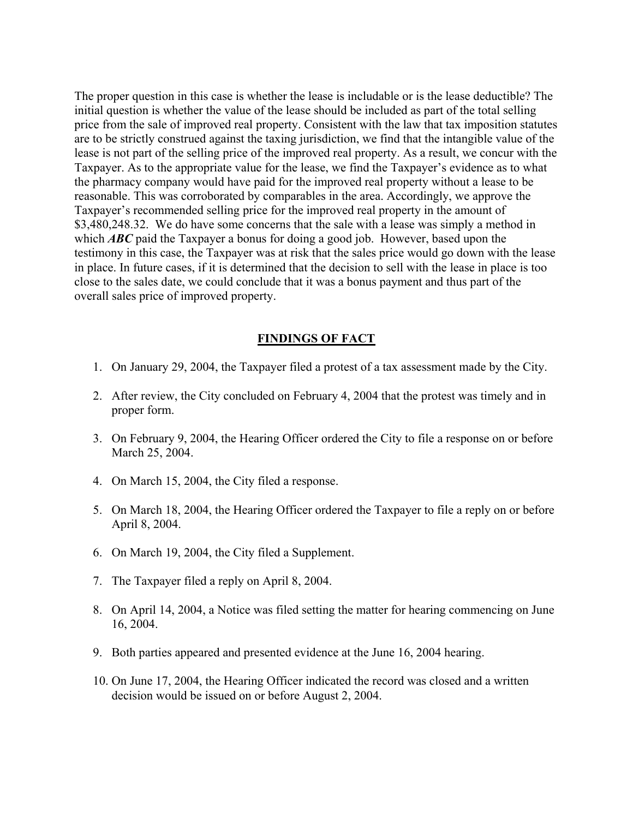The proper question in this case is whether the lease is includable or is the lease deductible? The initial question is whether the value of the lease should be included as part of the total selling price from the sale of improved real property. Consistent with the law that tax imposition statutes are to be strictly construed against the taxing jurisdiction, we find that the intangible value of the lease is not part of the selling price of the improved real property. As a result, we concur with the Taxpayer. As to the appropriate value for the lease, we find the Taxpayer's evidence as to what the pharmacy company would have paid for the improved real property without a lease to be reasonable. This was corroborated by comparables in the area. Accordingly, we approve the Taxpayer's recommended selling price for the improved real property in the amount of \$3,480,248.32. We do have some concerns that the sale with a lease was simply a method in which **ABC** paid the Taxpayer a bonus for doing a good job. However, based upon the testimony in this case, the Taxpayer was at risk that the sales price would go down with the lease in place. In future cases, if it is determined that the decision to sell with the lease in place is too close to the sales date, we could conclude that it was a bonus payment and thus part of the overall sales price of improved property.

#### **FINDINGS OF FACT**

- 1. On January 29, 2004, the Taxpayer filed a protest of a tax assessment made by the City.
- 2. After review, the City concluded on February 4, 2004 that the protest was timely and in proper form.
- 3. On February 9, 2004, the Hearing Officer ordered the City to file a response on or before March 25, 2004.
- 4. On March 15, 2004, the City filed a response.
- 5. On March 18, 2004, the Hearing Officer ordered the Taxpayer to file a reply on or before April 8, 2004.
- 6. On March 19, 2004, the City filed a Supplement.
- 7. The Taxpayer filed a reply on April 8, 2004.
- 8. On April 14, 2004, a Notice was filed setting the matter for hearing commencing on June 16, 2004.
- 9. Both parties appeared and presented evidence at the June 16, 2004 hearing.
- 10. On June 17, 2004, the Hearing Officer indicated the record was closed and a written decision would be issued on or before August 2, 2004.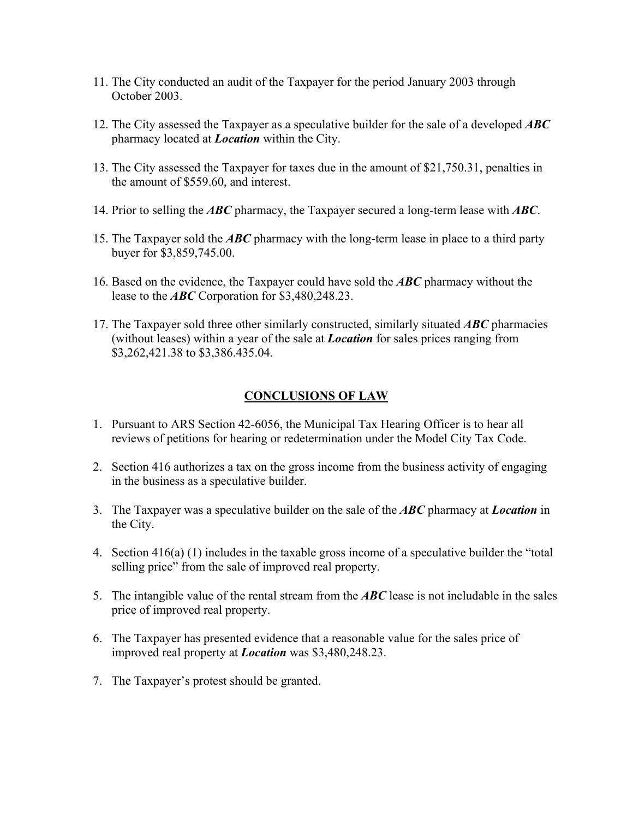- 11. The City conducted an audit of the Taxpayer for the period January 2003 through October 2003.
- 12. The City assessed the Taxpayer as a speculative builder for the sale of a developed *ABC* pharmacy located at *Location* within the City.
- 13. The City assessed the Taxpayer for taxes due in the amount of \$21,750.31, penalties in the amount of \$559.60, and interest.
- 14. Prior to selling the *ABC* pharmacy, the Taxpayer secured a long-term lease with *ABC*.
- 15. The Taxpayer sold the *ABC* pharmacy with the long-term lease in place to a third party buyer for \$3,859,745.00.
- 16. Based on the evidence, the Taxpayer could have sold the *ABC* pharmacy without the lease to the *ABC* Corporation for \$3,480,248.23.
- 17. The Taxpayer sold three other similarly constructed, similarly situated *ABC* pharmacies (without leases) within a year of the sale at *Location* for sales prices ranging from \$3,262,421.38 to \$3,386.435.04.

# **CONCLUSIONS OF LAW**

- 1. Pursuant to ARS Section 42-6056, the Municipal Tax Hearing Officer is to hear all reviews of petitions for hearing or redetermination under the Model City Tax Code.
- 2. Section 416 authorizes a tax on the gross income from the business activity of engaging in the business as a speculative builder.
- 3. The Taxpayer was a speculative builder on the sale of the *ABC* pharmacy at *Location* in the City.
- 4. Section 416(a) (1) includes in the taxable gross income of a speculative builder the "total selling price" from the sale of improved real property.
- 5. The intangible value of the rental stream from the *ABC* lease is not includable in the sales price of improved real property.
- 6. The Taxpayer has presented evidence that a reasonable value for the sales price of improved real property at *Location* was \$3,480,248.23.
- 7. The Taxpayer's protest should be granted.